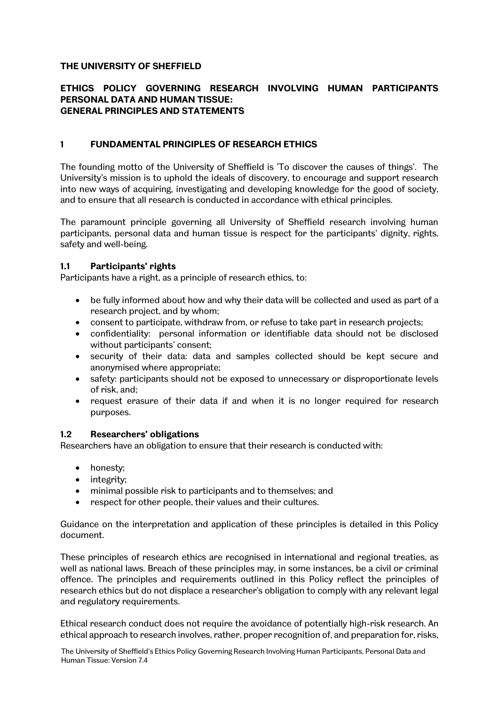## **THE UNIVERSITY OF SHEFFIELD**

### **ETHICS POLICY GOVERNING RESEARCH INVOLVING HUMAN PARTICIPANTS PERSONAL DATA AND HUMAN TISSUE: GENERAL PRINCIPLES AND STATEMENTS**

### **1 FUNDAMENTAL PRINCIPLES OF RESEARCH ETHICS**

The founding motto of the University of Sheffield is 'To discover the causes of things'. The University's mission is to uphold the ideals of discovery, to encourage and support research into new ways of acquiring, investigating and developing knowledge for the good of society, and to ensure that all research is conducted in accordance with ethical principles.

The paramount principle governing all University of Sheffield research involving human participants, personal data and human tissue is respect for the participants' dignity, rights, safety and well-being.

### **1.1 Participants' rights**

Participants have a right, as a principle of research ethics, to:

- be fully informed about how and why their data will be collected and used as part of a research project, and by whom;
- consent to participate, withdraw from, or refuse to take part in research projects;
- confidentiality: personal information or identifiable data should not be disclosed without participants' consent;
- security of their data: data and samples collected should be kept secure and anonymised where appropriate;
- safety: participants should not be exposed to unnecessary or disproportionate levels of risk, and;
- request erasure of their data if and when it is no longer required for research purposes.

#### **1.2 Researchers' obligations**

Researchers have an obligation to ensure that their research is conducted with:

- honesty:
- integrity;
- minimal possible risk to participants and to themselves; and
- respect for other people, their values and their cultures.

Guidance on the interpretation and application of these principles is detailed in this Policy document.

These principles of research ethics are recognised in international and regional treaties, as well as national laws. Breach of these principles may, in some instances, be a civil or criminal offence. The principles and requirements outlined in this Policy reflect the principles of research ethics but do not displace a researcher's obligation to comply with any relevant legal and regulatory requirements.

Ethical research conduct does not require the avoidance of potentially high-risk research. An ethical approach to research involves, rather, proper recognition of, and preparation for, risks,

The University of Sheffield's Ethics Policy Governing Research Involving Human Participants, Personal Data and Human Tissue: Version 7.4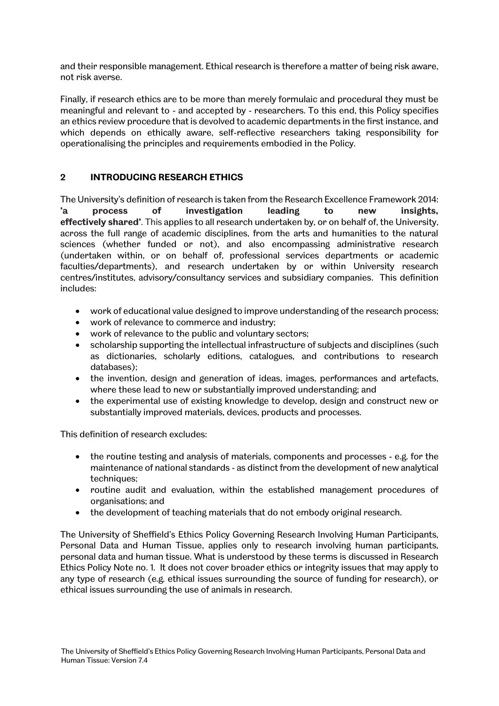and their responsible management. Ethical research is therefore a matter of being risk aware, not risk averse.

Finally, if research ethics are to be more than merely formulaic and procedural they must be meaningful and relevant to - and accepted by - researchers. To this end, this Policy specifies an ethics review procedure that is devolved to academic departments in the first instance, and which depends on ethically aware, self-reflective researchers taking responsibility for operationalising the principles and requirements embodied in the Policy.

# **2 INTRODUCING RESEARCH ETHICS**

The University's definition of research is taken from the Research Excellence Framework 2014: **'a process of investigation leading to new insights, effectively shared'**. This applies to all research undertaken by, or on behalf of, the University, across the full range of academic disciplines, from the arts and humanities to the natural sciences (whether funded or not), and also encompassing administrative research (undertaken within, or on behalf of, professional services departments or academic faculties/departments), and research undertaken by or within University research centres/institutes, advisory/consultancy services and subsidiary companies. This definition includes:

- work of educational value designed to improve understanding of the research process;
- work of relevance to commerce and industry;
- work of relevance to the public and voluntary sectors;
- scholarship supporting the intellectual infrastructure of subjects and disciplines (such as dictionaries, scholarly editions, catalogues, and contributions to research databases);
- the invention, design and generation of ideas, images, performances and artefacts, where these lead to new or substantially improved understanding; and
- the experimental use of existing knowledge to develop, design and construct new or substantially improved materials, devices, products and processes.

This definition of research excludes:

- the routine testing and analysis of materials, components and processes e.g. for the maintenance of national standards - as distinct from the development of new analytical techniques;
- routine audit and evaluation, within the established management procedures of organisations; and
- the development of teaching materials that do not embody original research.

The University of Sheffield's Ethics Policy Governing Research Involving Human Participants, Personal Data and Human Tissue, applies only to research involving human participants, personal data and human tissue. What is understood by these terms is discussed in Research Ethics Policy Note no. 1. It does not cover broader ethics or integrity issues that may apply to any type of research (e.g. ethical issues surrounding the source of funding for research), or ethical issues surrounding the use of animals in research.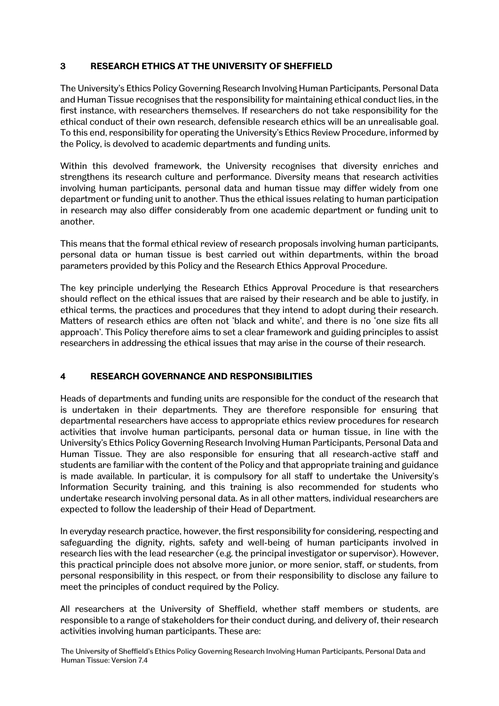## **3 RESEARCH ETHICS AT THE UNIVERSITY OF SHEFFIELD**

The University's Ethics Policy Governing Research Involving Human Participants, Personal Data and Human Tissue recognises that the responsibility for maintaining ethical conduct lies, in the first instance, with researchers themselves. If researchers do not take responsibility for the ethical conduct of their own research, defensible research ethics will be an unrealisable goal. To this end, responsibility for operating the University's Ethics Review Procedure, informed by the Policy, is devolved to academic departments and funding units.

Within this devolved framework, the University recognises that diversity enriches and strengthens its research culture and performance. Diversity means that research activities involving human participants, personal data and human tissue may differ widely from one department or funding unit to another. Thus the ethical issues relating to human participation in research may also differ considerably from one academic department or funding unit to another.

This means that the formal ethical review of research proposals involving human participants, personal data or human tissue is best carried out within departments, within the broad parameters provided by this Policy and the Research Ethics Approval Procedure.

The key principle underlying the Research Ethics Approval Procedure is that researchers should reflect on the ethical issues that are raised by their research and be able to justify, in ethical terms, the practices and procedures that they intend to adopt during their research. Matters of research ethics are often not 'black and white', and there is no 'one size fits all approach'. This Policy therefore aims to set a clear framework and guiding principles to assist researchers in addressing the ethical issues that may arise in the course of their research.

# **4 RESEARCH GOVERNANCE AND RESPONSIBILITIES**

Heads of departments and funding units are responsible for the conduct of the research that is undertaken in their departments. They are therefore responsible for ensuring that departmental researchers have access to appropriate ethics review procedures for research activities that involve human participants, personal data or human tissue, in line with the University's Ethics Policy Governing Research Involving Human Participants, Personal Data and Human Tissue. They are also responsible for ensuring that all research-active staff and students are familiar with the content of the Policy and that appropriate training and guidance is made available. In particular, it is compulsory for all staff to undertake the University's Information Security training, and this training is also recommended for students who undertake research involving personal data. As in all other matters, individual researchers are expected to follow the leadership of their Head of Department.

In everyday research practice, however, the first responsibility for considering, respecting and safeguarding the dignity, rights, safety and well-being of human participants involved in research lies with the lead researcher (e.g. the principal investigator or supervisor). However, this practical principle does not absolve more junior, or more senior, staff, or students, from personal responsibility in this respect, or from their responsibility to disclose any failure to meet the principles of conduct required by the Policy.

All researchers at the University of Sheffield, whether staff members or students, are responsible to a range of stakeholders for their conduct during, and delivery of, their research activities involving human participants. These are:

The University of Sheffield's Ethics Policy Governing Research Involving Human Participants, Personal Data and Human Tissue: Version 7.4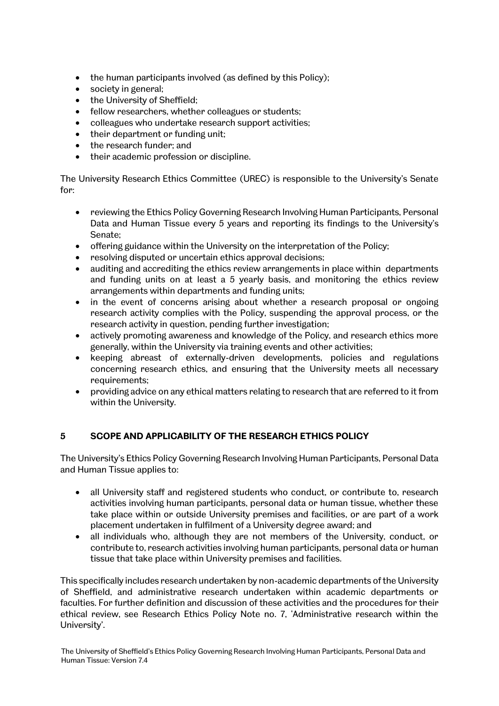- the human participants involved (as defined by this Policy);
- society in general:
- the University of Sheffield:
- fellow researchers, whether colleagues or students;
- colleagues who undertake research support activities;
- their department or funding unit;
- the research funder; and<br>• their academic profecsion
- their academic profession or discipline.

The University Research Ethics Committee (UREC) is responsible to the University's Senate for:

- reviewing the Ethics Policy Governing Research Involving Human Participants, Personal Data and Human Tissue every 5 years and reporting its findings to the University's Senate;
- offering guidance within the University on the interpretation of the Policy;
- resolving disputed or uncertain ethics approval decisions;
- auditing and accrediting the ethics review arrangements in place within departments and funding units on at least a 5 yearly basis, and monitoring the ethics review arrangements within departments and funding units;
- in the event of concerns arising about whether a research proposal or ongoing research activity complies with the Policy, suspending the approval process, or the research activity in question, pending further investigation;
- actively promoting awareness and knowledge of the Policy, and research ethics more generally, within the University via training events and other activities;
- keeping abreast of externally-driven developments, policies and regulations concerning research ethics, and ensuring that the University meets all necessary requirements;
- providing advice on any ethical matters relating to research that are referred to it from within the University.

# **5 SCOPE AND APPLICABILITY OF THE RESEARCH ETHICS POLICY**

The University's Ethics Policy Governing Research Involving Human Participants, Personal Data and Human Tissue applies to:

- all University staff and registered students who conduct, or contribute to, research activities involving human participants, personal data or human tissue, whether these take place within or outside University premises and facilities, or are part of a work placement undertaken in fulfilment of a University degree award; and
- all individuals who, although they are not members of the University, conduct, or contribute to, research activities involving human participants, personal data or human tissue that take place within University premises and facilities.

This specifically includes research undertaken by non-academic departments of the University of Sheffield, and administrative research undertaken within academic departments or faculties. For further definition and discussion of these activities and the procedures for their ethical review, see Research Ethics Policy Note no. 7, 'Administrative research within the University'.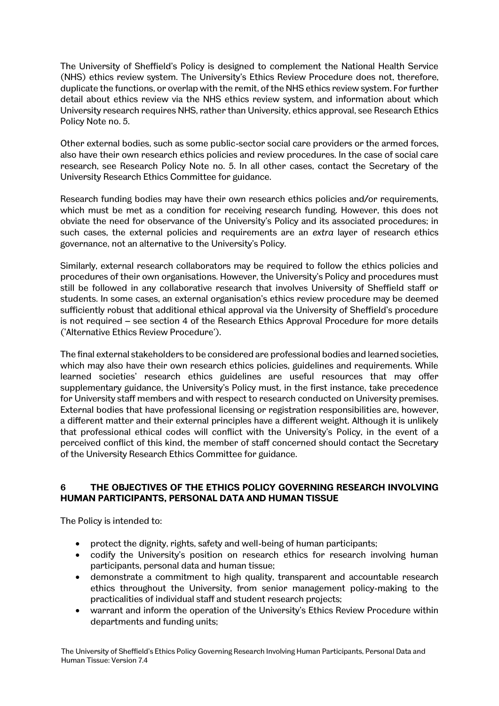The University of Sheffield's Policy is designed to complement the National Health Service (NHS) ethics review system. The University's Ethics Review Procedure does not, therefore, duplicate the functions, or overlap with the remit, of the NHS ethics review system. For further detail about ethics review via the NHS ethics review system, and information about which University research requires NHS, rather than University, ethics approval, see Research Ethics Policy Note no. 5.

Other external bodies, such as some public-sector social care providers or the armed forces, also have their own research ethics policies and review procedures. In the case of social care research, see Research Policy Note no. 5. In all other cases, contact the Secretary of the University Research Ethics Committee for guidance.

Research funding bodies may have their own research ethics policies and/or requirements, which must be met as a condition for receiving research funding. However, this does not obviate the need for observance of the University's Policy and its associated procedures; in such cases, the external policies and requirements are an *extra* layer of research ethics governance, not an alternative to the University's Policy.

Similarly, external research collaborators may be required to follow the ethics policies and procedures of their own organisations. However, the University's Policy and procedures must still be followed in any collaborative research that involves University of Sheffield staff or students. In some cases, an external organisation's ethics review procedure may be deemed sufficiently robust that additional ethical approval via the University of Sheffield's procedure is not required – see section 4 of the Research Ethics Approval Procedure for more details ('Alternative Ethics Review Procedure').

The final external stakeholders to be considered are professional bodies and learned societies, which may also have their own research ethics policies, guidelines and requirements. While learned societies' research ethics guidelines are useful resources that may offer supplementary guidance, the University's Policy must, in the first instance, take precedence for University staff members and with respect to research conducted on University premises. External bodies that have professional licensing or registration responsibilities are, however, a different matter and their external principles have a different weight. Although it is unlikely that professional ethical codes will conflict with the University's Policy, in the event of a perceived conflict of this kind, the member of staff concerned should contact the Secretary of the University Research Ethics Committee for guidance.

## **6 THE OBJECTIVES OF THE ETHICS POLICY GOVERNING RESEARCH INVOLVING HUMAN PARTICIPANTS, PERSONAL DATA AND HUMAN TISSUE**

The Policy is intended to:

- protect the dignity, rights, safety and well-being of human participants;
- codify the University's position on research ethics for research involving human participants, personal data and human tissue;
- demonstrate a commitment to high quality, transparent and accountable research ethics throughout the University, from senior management policy-making to the practicalities of individual staff and student research projects;
- warrant and inform the operation of the University's Ethics Review Procedure within departments and funding units;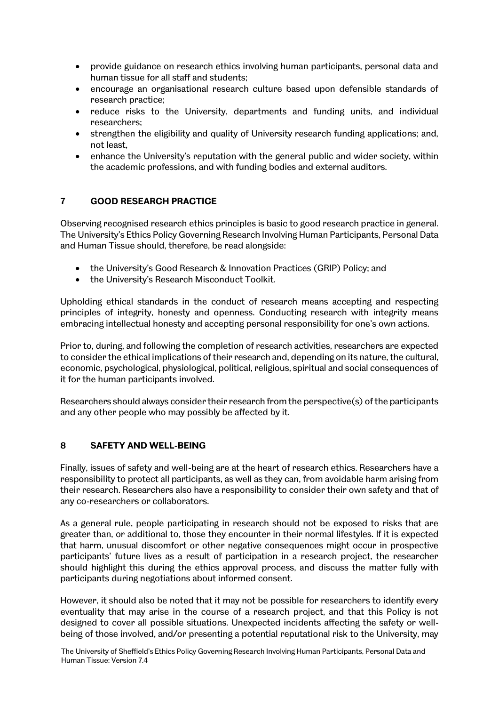- provide guidance on research ethics involving human participants, personal data and human tissue for all staff and students;
- encourage an organisational research culture based upon defensible standards of research practice;
- reduce risks to the University, departments and funding units, and individual researchers;
- strengthen the eligibility and quality of University research funding applications; and, not least,
- enhance the University's reputation with the general public and wider society, within the academic professions, and with funding bodies and external auditors.

# **7 GOOD RESEARCH PRACTICE**

Observing recognised research ethics principles is basic to good research practice in general. The University's Ethics Policy Governing Research Involving Human Participants, Personal Data and Human Tissue should, therefore, be read alongside:

- the University's Good Research & Innovation Practices (GRIP) Policy; and
- the University's Research Misconduct Toolkit.

Upholding ethical standards in the conduct of research means accepting and respecting principles of integrity, honesty and openness. Conducting research with integrity means embracing intellectual honesty and accepting personal responsibility for one's own actions.

Prior to, during, and following the completion of research activities, researchers are expected to consider the ethical implications of their research and, depending on its nature, the cultural, economic, psychological, physiological, political, religious, spiritual and social consequences of it for the human participants involved.

Researchers should always consider their research from the perspective(s) of the participants and any other people who may possibly be affected by it.

## **8 SAFETY AND WELL-BEING**

Finally, issues of safety and well-being are at the heart of research ethics. Researchers have a responsibility to protect all participants, as well as they can, from avoidable harm arising from their research. Researchers also have a responsibility to consider their own safety and that of any co-researchers or collaborators.

As a general rule, people participating in research should not be exposed to risks that are greater than, or additional to, those they encounter in their normal lifestyles. If it is expected that harm, unusual discomfort or other negative consequences might occur in prospective participants' future lives as a result of participation in a research project, the researcher should highlight this during the ethics approval process, and discuss the matter fully with participants during negotiations about informed consent.

However, it should also be noted that it may not be possible for researchers to identify every eventuality that may arise in the course of a research project, and that this Policy is not designed to cover all possible situations. Unexpected incidents affecting the safety or wellbeing of those involved, and/or presenting a potential reputational risk to the University, may

The University of Sheffield's Ethics Policy Governing Research Involving Human Participants, Personal Data and Human Tissue: Version 7.4